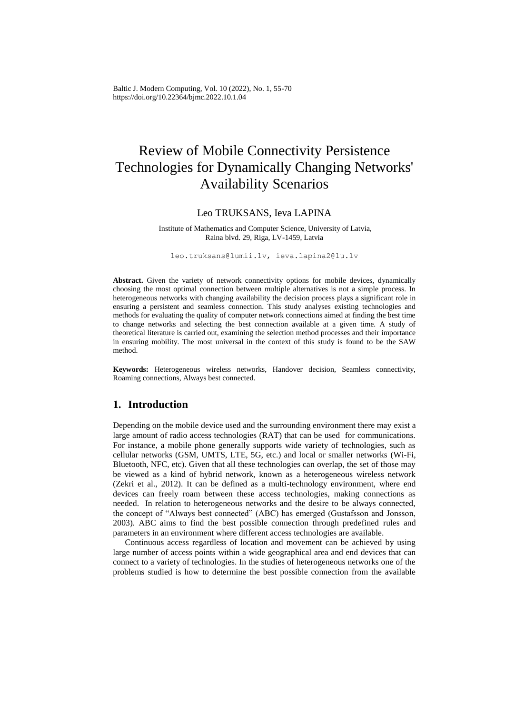Baltic J. Modern Computing, Vol. 10 (2022), No. 1, 55-70 https://doi.org/10.22364/bjmc.2022.10.1.04

# Review of Mobile Connectivity Persistence Technologies for Dynamically Changing Networks' Availability Scenarios

#### Leo TRUKSANS, Ieva LAPINA

Institute of Mathematics and Computer Science, University of Latvia, Raina blvd. 29, Riga, LV-1459, Latvia

leo.truksans@lumii.lv, ieva.lapina2@lu.lv

**Abstract.** Given the variety of network connectivity options for mobile devices, dynamically choosing the most optimal connection between multiple alternatives is not a simple process. In heterogeneous networks with changing availability the decision process plays a significant role in ensuring a persistent and seamless connection. This study analyses existing technologies and methods for evaluating the quality of computer network connections aimed at finding the best time to change networks and selecting the best connection available at a given time. A study of theoretical literature is carried out, examining the selection method processes and their importance in ensuring mobility. The most universal in the context of this study is found to be the SAW method.

**Keywords:** Heterogeneous wireless networks, Handover decision, Seamless connectivity, Roaming connections, Always best connected.

### **1. Introduction**

Depending on the mobile device used and the surrounding environment there may exist a large amount of radio access technologies (RAT) that can be used for communications. For instance, a mobile phone generally supports wide variety of technologies, such as cellular networks (GSM, UMTS, LTE, 5G, etc.) and local or smaller networks (Wi-Fi, Bluetooth, NFC, etc). Given that all these technologies can overlap, the set of those may be viewed as a kind of hybrid network, known as a heterogeneous wireless network (Zekri et al., 2012). It can be defined as a multi-technology environment, where end devices can freely roam between these access technologies, making connections as needed. In relation to heterogeneous networks and the desire to be always connected, the concept of "Always best connected" (ABC) has emerged (Gustafsson and Jonsson, 2003). ABC aims to find the best possible connection through predefined rules and parameters in an environment where different access technologies are available.

Continuous access regardless of location and movement can be achieved by using large number of access points within a wide geographical area and end devices that can connect to a variety of technologies. In the studies of heterogeneous networks one of the problems studied is how to determine the best possible connection from the available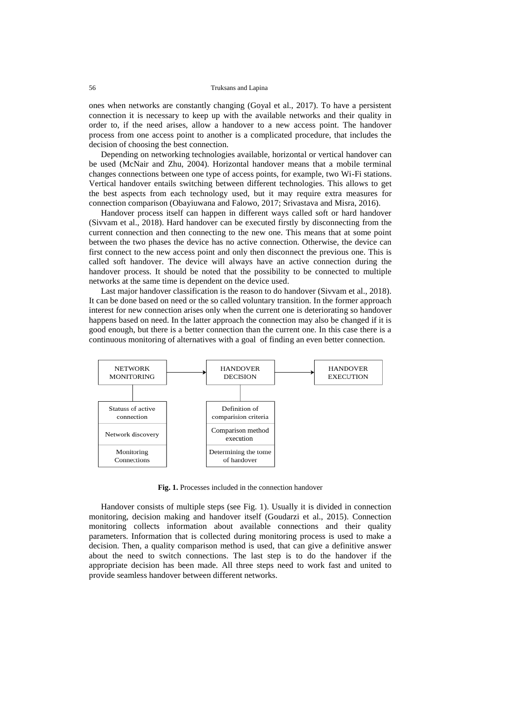ones when networks are constantly changing (Goyal et al., 2017). To have a persistent connection it is necessary to keep up with the available networks and their quality in order to, if the need arises, allow a handover to a new access point. The handover process from one access point to another is a complicated procedure, that includes the decision of choosing the best connection.

Depending on networking technologies available, horizontal or vertical handover can be used (McNair and Zhu, 2004). Horizontal handover means that a mobile terminal changes connections between one type of access points, for example, two Wi-Fi stations. Vertical handover entails switching between different technologies. This allows to get the best aspects from each technology used, but it may require extra measures for connection comparison (Obayiuwana and Falowo, 2017; Srivastava and Misra, 2016).

Handover process itself can happen in different ways called soft or hard handover (Sivvam et al., 2018). Hard handover can be executed firstly by disconnecting from the current connection and then connecting to the new one. This means that at some point between the two phases the device has no active connection. Otherwise, the device can first connect to the new access point and only then disconnect the previous one. This is called soft handover. The device will always have an active connection during the handover process. It should be noted that the possibility to be connected to multiple networks at the same time is dependent on the device used.

Last major handover classification is the reason to do handover (Sivvam et al., 2018). It can be done based on need or the so called voluntary transition. In the former approach interest for new connection arises only when the current one is deteriorating so handover happens based on need. In the latter approach the connection may also be changed if it is good enough, but there is a better connection than the current one. In this case there is a continuous monitoring of alternatives with a goal of finding an even better connection.



**Fig. 1.** Processes included in the connection handover

Handover consists of multiple steps (see Fig. 1). Usually it is divided in connection monitoring, decision making and handover itself (Goudarzi et al., 2015). Connection monitoring collects information about available connections and their quality parameters. Information that is collected during monitoring process is used to make a decision. Then, a quality comparison method is used, that can give a definitive answer about the need to switch connections. The last step is to do the handover if the appropriate decision has been made. All three steps need to work fast and united to provide seamless handover between different networks.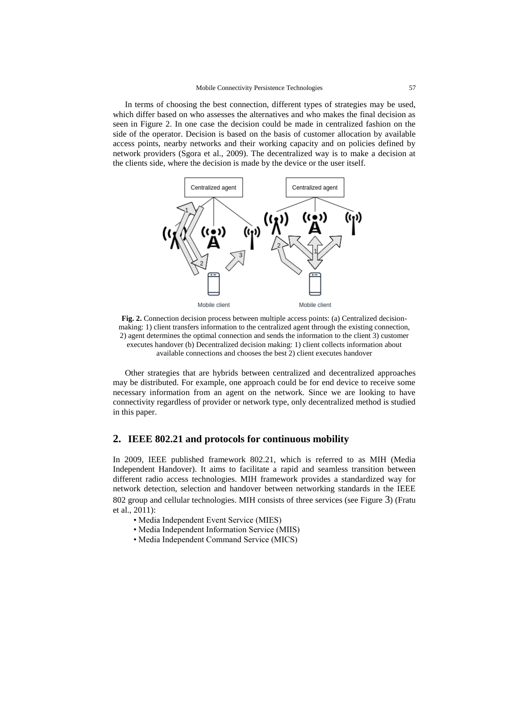In terms of choosing the best connection, different types of strategies may be used, which differ based on who assesses the alternatives and who makes the final decision as seen in Figure 2. In one case the decision could be made in centralized fashion on the side of the operator. Decision is based on the basis of customer allocation by available access points, nearby networks and their working capacity and on policies defined by network providers (Sgora et al., 2009). The decentralized way is to make a decision at the clients side, where the decision is made by the device or the user itself.



**Fig. 2.** Connection decision process between multiple access points: (a) Centralized decisionmaking: 1) client transfers information to the centralized agent through the existing connection, 2) agent determines the optimal connection and sends the information to the client 3) customer executes handover (b) Decentralized decision making: 1) client collects information about available connections and chooses the best 2) client executes handover

Other strategies that are hybrids between centralized and decentralized approaches may be distributed. For example, one approach could be for end device to receive some necessary information from an agent on the network. Since we are looking to have connectivity regardless of provider or network type, only decentralized method is studied in this paper.

#### **2. IEEE 802.21 and protocols for continuous mobility**

In 2009, IEEE published framework 802.21, which is referred to as MIH (Media Independent Handover). It aims to facilitate a rapid and seamless transition between different radio access technologies. MIH framework provides a standardized way for network detection, selection and handover between networking standards in the IEEE 802 group and cellular technologies. MIH consists of three services (see Figure 3) (Fratu et al., 2011):

- Media Independent Event Service (MIES)
- Media Independent Information Service (MIIS)
- Media Independent Command Service (MICS)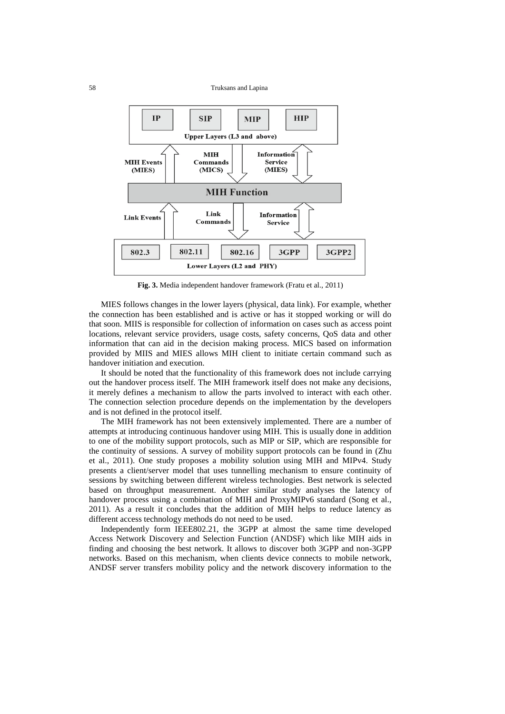

**Fig. 3.** Media independent handover framework (Fratu et al., 2011)

MIES follows changes in the lower layers (physical, data link). For example, whether the connection has been established and is active or has it stopped working or will do that soon. MIIS is responsible for collection of information on cases such as access point locations, relevant service providers, usage costs, safety concerns, QoS data and other information that can aid in the decision making process. MICS based on information provided by MIIS and MIES allows MIH client to initiate certain command such as handover initiation and execution.

It should be noted that the functionality of this framework does not include carrying out the handover process itself. The MIH framework itself does not make any decisions, it merely defines a mechanism to allow the parts involved to interact with each other. The connection selection procedure depends on the implementation by the developers and is not defined in the protocol itself.

The MIH framework has not been extensively implemented. There are a number of attempts at introducing continuous handover using MIH. This is usually done in addition to one of the mobility support protocols, such as MIP or SIP, which are responsible for the continuity of sessions. A survey of mobility support protocols can be found in (Zhu et al., 2011). One study proposes a mobility solution using MIH and MIPv4. Study presents a client/server model that uses tunnelling mechanism to ensure continuity of sessions by switching between different wireless technologies. Best network is selected based on throughput measurement. Another similar study analyses the latency of handover process using a combination of MIH and ProxyMIPv6 standard (Song et al., 2011). As a result it concludes that the addition of MIH helps to reduce latency as different access technology methods do not need to be used.

Independently form IEEE802.21, the 3GPP at almost the same time developed Access Network Discovery and Selection Function (ANDSF) which like MIH aids in finding and choosing the best network. It allows to discover both 3GPP and non-3GPP networks. Based on this mechanism, when clients device connects to mobile network, ANDSF server transfers mobility policy and the network discovery information to the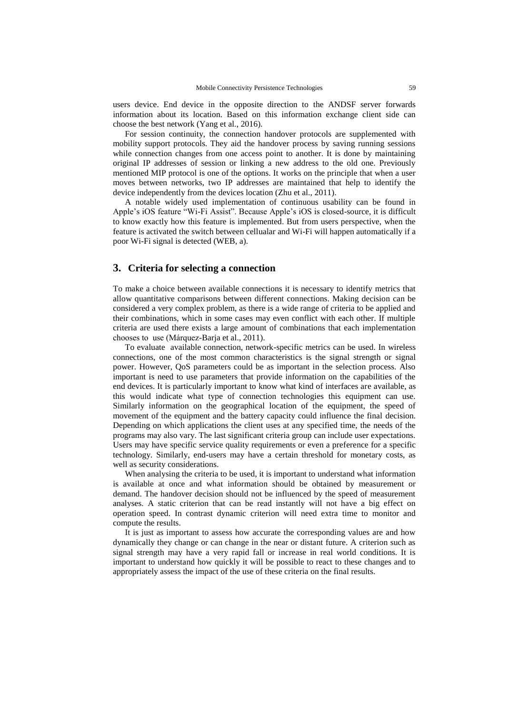users device. End device in the opposite direction to the ANDSF server forwards information about its location. Based on this information exchange client side can choose the best network (Yang et al., 2016).

For session continuity, the connection handover protocols are supplemented with mobility support protocols. They aid the handover process by saving running sessions while connection changes from one access point to another. It is done by maintaining original IP addresses of session or linking a new address to the old one. Previously mentioned MIP protocol is one of the options. It works on the principle that when a user moves between networks, two IP addresses are maintained that help to identify the device independently from the devices location (Zhu et al., 2011).

A notable widely used implementation of continuous usability can be found in Apple's iOS feature "Wi-Fi Assist". Because Apple's iOS is closed-source, it is difficult to know exactly how this feature is implemented. But from users perspective, when the feature is activated the switch between cellualar and Wi-Fi will happen automatically if a poor Wi-Fi signal is detected (WEB, a).

#### **3. Criteria for selecting a connection**

To make a choice between available connections it is necessary to identify metrics that allow quantitative comparisons between different connections. Making decision can be considered a very complex problem, as there is a wide range of criteria to be applied and their combinations, which in some cases may even conflict with each other. If multiple criteria are used there exists a large amount of combinations that each implementation chooses to use (Márquez-Barja et al., 2011).

To evaluate available connection, network-specific metrics can be used. In wireless connections, one of the most common characteristics is the signal strength or signal power. However, QoS parameters could be as important in the selection process. Also important is need to use parameters that provide information on the capabilities of the end devices. It is particularly important to know what kind of interfaces are available, as this would indicate what type of connection technologies this equipment can use. Similarly information on the geographical location of the equipment, the speed of movement of the equipment and the battery capacity could influence the final decision. Depending on which applications the client uses at any specified time, the needs of the programs may also vary. The last significant criteria group can include user expectations. Users may have specific service quality requirements or even a preference for a specific technology. Similarly, end-users may have a certain threshold for monetary costs, as well as security considerations.

When analysing the criteria to be used, it is important to understand what information is available at once and what information should be obtained by measurement or demand. The handover decision should not be influenced by the speed of measurement analyses. A static criterion that can be read instantly will not have a big effect on operation speed. In contrast dynamic criterion will need extra time to monitor and compute the results.

It is just as important to assess how accurate the corresponding values are and how dynamically they change or can change in the near or distant future. A criterion such as signal strength may have a very rapid fall or increase in real world conditions. It is important to understand how quickly it will be possible to react to these changes and to appropriately assess the impact of the use of these criteria on the final results.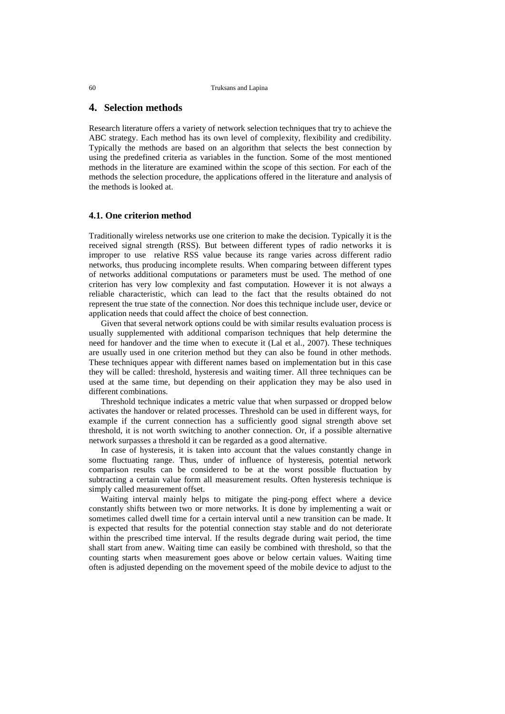#### **4. Selection methods**

Research literature offers a variety of network selection techniques that try to achieve the ABC strategy. Each method has its own level of complexity, flexibility and credibility. Typically the methods are based on an algorithm that selects the best connection by using the predefined criteria as variables in the function. Some of the most mentioned methods in the literature are examined within the scope of this section. For each of the methods the selection procedure, the applications offered in the literature and analysis of the methods is looked at.

#### **4.1. One criterion method**

Traditionally wireless networks use one criterion to make the decision. Typically it is the received signal strength (RSS). But between different types of radio networks it is improper to use relative RSS value because its range varies across different radio networks, thus producing incomplete results. When comparing between different types of networks additional computations or parameters must be used. The method of one criterion has very low complexity and fast computation. However it is not always a reliable characteristic, which can lead to the fact that the results obtained do not represent the true state of the connection. Nor does this technique include user, device or application needs that could affect the choice of best connection.

Given that several network options could be with similar results evaluation process is usually supplemented with additional comparison techniques that help determine the need for handover and the time when to execute it (Lal et al., 2007). These techniques are usually used in one criterion method but they can also be found in other methods. These techniques appear with different names based on implementation but in this case they will be called: threshold, hysteresis and waiting timer. All three techniques can be used at the same time, but depending on their application they may be also used in different combinations.

Threshold technique indicates a metric value that when surpassed or dropped below activates the handover or related processes. Threshold can be used in different ways, for example if the current connection has a sufficiently good signal strength above set threshold, it is not worth switching to another connection. Or, if a possible alternative network surpasses a threshold it can be regarded as a good alternative.

In case of hysteresis, it is taken into account that the values constantly change in some fluctuating range. Thus, under of influence of hysteresis, potential network comparison results can be considered to be at the worst possible fluctuation by subtracting a certain value form all measurement results. Often hysteresis technique is simply called measurement offset.

Waiting interval mainly helps to mitigate the ping-pong effect where a device constantly shifts between two or more networks. It is done by implementing a wait or sometimes called dwell time for a certain interval until a new transition can be made. It is expected that results for the potential connection stay stable and do not deteriorate within the prescribed time interval. If the results degrade during wait period, the time shall start from anew. Waiting time can easily be combined with threshold, so that the counting starts when measurement goes above or below certain values. Waiting time often is adjusted depending on the movement speed of the mobile device to adjust to the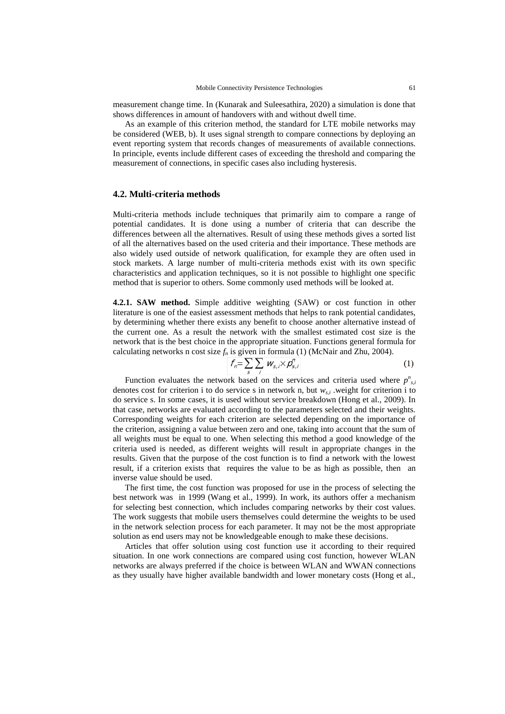measurement change time. In (Kunarak and Suleesathira, 2020) a simulation is done that shows differences in amount of handovers with and without dwell time.

As an example of this criterion method, the standard for LTE mobile networks may be considered (WEB, b). It uses signal strength to compare connections by deploying an event reporting system that records changes of measurements of available connections. In principle, events include different cases of exceeding the threshold and comparing the measurement of connections, in specific cases also including hysteresis.

#### **4.2. Multi-criteria methods**

Multi-criteria methods include techniques that primarily aim to compare a range of potential candidates. It is done using a number of criteria that can describe the differences between all the alternatives. Result of using these methods gives a sorted list of all the alternatives based on the used criteria and their importance. These methods are also widely used outside of network qualification, for example they are often used in stock markets. A large number of multi-criteria methods exist with its own specific characteristics and application techniques, so it is not possible to highlight one specific method that is superior to others. Some commonly used methods will be looked at.

**4.2.1. SAW method.** Simple additive weighting (SAW) or cost function in other literature is one of the easiest assessment methods that helps to rank potential candidates, by determining whether there exists any benefit to choose another alternative instead of the current one. As a result the network with the smallest estimated cost size is the network that is the best choice in the appropriate situation. Functions general formula for calculating networks n cost size  $f_n$  is given in formula (1) (McNair and Zhu, 2004).

$$
f_n = \sum_{s} \sum_{i} W_{s,i} \times \mathcal{P}_{s,i}^{\prime}
$$
 (1)

Function evaluates the network based on the services and criteria used where  $p_{s,i}^n$ denotes cost for criterion i to do service s in network n, but  $w_{s,i}$ , weight for criterion i to do service s. In some cases, it is used without service breakdown (Hong et al., 2009). In that case, networks are evaluated according to the parameters selected and their weights. Corresponding weights for each criterion are selected depending on the importance of the criterion, assigning a value between zero and one, taking into account that the sum of all weights must be equal to one. When selecting this method a good knowledge of the criteria used is needed, as different weights will result in appropriate changes in the results. Given that the purpose of the cost function is to find a network with the lowest result, if a criterion exists that requires the value to be as high as possible, then an inverse value should be used.

The first time, the cost function was proposed for use in the process of selecting the best network was in 1999 (Wang et al., 1999). In work, its authors offer a mechanism for selecting best connection, which includes comparing networks by their cost values. The work suggests that mobile users themselves could determine the weights to be used in the network selection process for each parameter. It may not be the most appropriate solution as end users may not be knowledgeable enough to make these decisions.

Articles that offer solution using cost function use it according to their required situation. In one work connections are compared using cost function, however WLAN networks are always preferred if the choice is between WLAN and WWAN connections as they usually have higher available bandwidth and lower monetary costs (Hong et al.,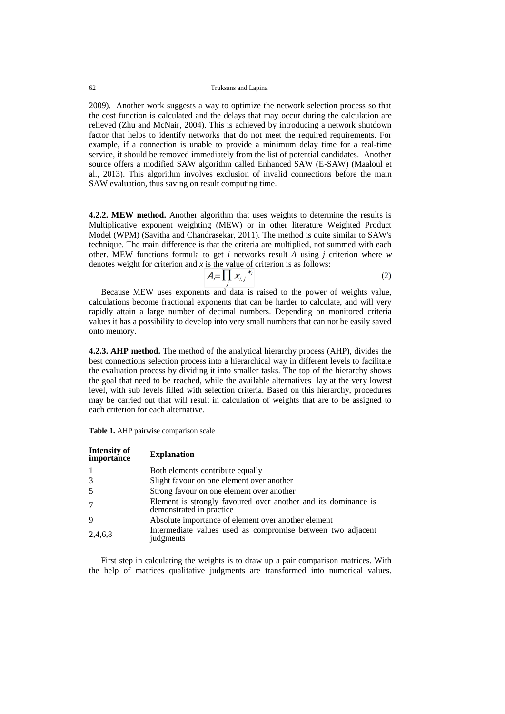2009). Another work suggests a way to optimize the network selection process so that the cost function is calculated and the delays that may occur during the calculation are relieved (Zhu and McNair, 2004). This is achieved by introducing a network shutdown factor that helps to identify networks that do not meet the required requirements. For example, if a connection is unable to provide a minimum delay time for a real-time service, it should be removed immediately from the list of potential candidates. Another source offers a modified SAW algorithm called Enhanced SAW (E-SAW) (Maaloul et al., 2013). This algorithm involves exclusion of invalid connections before the main SAW evaluation, thus saving on result computing time.

**4.2.2. MEW method.** Another algorithm that uses weights to determine the results is Multiplicative exponent weighting (MEW) or in other literature Weighted Product Model (WPM) (Savitha and Chandrasekar, 2011). The method is quite similar to SAW's technique. The main difference is that the criteria are multiplied, not summed with each other. MEW functions formula to get *i* networks result *A* using *j* criterion where *w* denotes weight for criterion and *x* is the value of criterion is as follows:

$$
A_{\overline{r}}\prod_{j} X_{\overline{i},j}^{W_j} \tag{2}
$$

Because MEW uses exponents and data is raised to the power of weights value, calculations become fractional exponents that can be harder to calculate, and will very rapidly attain a large number of decimal numbers. Depending on monitored criteria values it has a possibility to develop into very small numbers that can not be easily saved onto memory.

**4.2.3. AHP method.** The method of the analytical hierarchy process (AHP), divides the best connections selection process into a hierarchical way in different levels to facilitate the evaluation process by dividing it into smaller tasks. The top of the hierarchy shows the goal that need to be reached, while the available alternatives lay at the very lowest level, with sub levels filled with selection criteria. Based on this hierarchy, procedures may be carried out that will result in calculation of weights that are to be assigned to each criterion for each alternative.

| Intensity of<br>importance | <b>Explanation</b>                                                                         |  |  |  |  |
|----------------------------|--------------------------------------------------------------------------------------------|--|--|--|--|
|                            | Both elements contribute equally                                                           |  |  |  |  |
|                            | Slight favour on one element over another                                                  |  |  |  |  |
| .5                         | Strong favour on one element over another                                                  |  |  |  |  |
|                            | Element is strongly favoured over another and its dominance is<br>demonstrated in practice |  |  |  |  |
| 9                          | Absolute importance of element over another element                                        |  |  |  |  |
| 2,4,6,8                    | Intermediate values used as compromise between two adjacent<br>judgments                   |  |  |  |  |

**Table 1.** AHP pairwise comparison scale

First step in calculating the weights is to draw up a pair comparison matrices. With the help of matrices qualitative judgments are transformed into numerical values.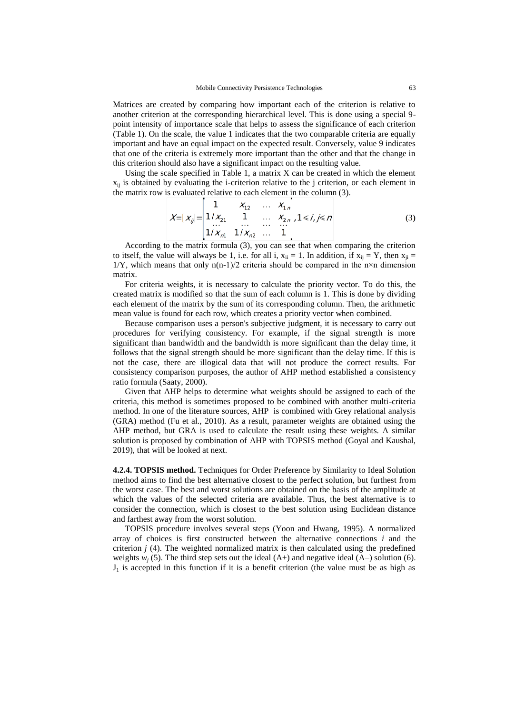Matrices are created by comparing how important each of the criterion is relative to another criterion at the corresponding hierarchical level. This is done using a special 9 point intensity of importance scale that helps to assess the significance of each criterion (Table 1). On the scale, the value 1 indicates that the two comparable criteria are equally important and have an equal impact on the expected result. Conversely, value 9 indicates that one of the criteria is extremely more important than the other and that the change in this criterion should also have a significant impact on the resulting value.

Using the scale specified in Table 1, a matrix  $X$  can be created in which the element  $x_{ii}$  is obtained by evaluating the i-criterion relative to the j criterion, or each element in the matrix row is evaluated relative to each element in the column (3).

$$
X=[x_{ij}]=\begin{vmatrix} 1 & X_{12} & \cdots & X_{1n} \\ 1/X_{21} & 1 & \cdots & X_{2n} \\ \cdots & \cdots & \cdots & \cdots \\ 1/X_{n1} & 1/X_{n2} & \cdots & 1 \end{vmatrix}, 1\leq i, j\leq n
$$
 (3)

According to the matrix formula (3), you can see that when comparing the criterion to itself, the value will always be 1, i.e. for all i,  $x_{ii} = 1$ . In addition, if  $x_{ii} = Y$ , then  $x_{ii} =$  $1/Y$ , which means that only  $n(n-1)/2$  criteria should be compared in the n×n dimension matrix.

For criteria weights, it is necessary to calculate the priority vector. To do this, the created matrix is modified so that the sum of each column is 1. This is done by dividing each element of the matrix by the sum of its corresponding column. Then, the arithmetic mean value is found for each row, which creates a priority vector when combined.

Because comparison uses a person's subjective judgment, it is necessary to carry out procedures for verifying consistency. For example, if the signal strength is more significant than bandwidth and the bandwidth is more significant than the delay time, it follows that the signal strength should be more significant than the delay time. If this is not the case, there are illogical data that will not produce the correct results. For consistency comparison purposes, the author of AHP method established a consistency ratio formula (Saaty, 2000).

Given that AHP helps to determine what weights should be assigned to each of the criteria, this method is sometimes proposed to be combined with another multi-criteria method. In one of the literature sources, AHP is combined with Grey relational analysis (GRA) method (Fu et al., 2010). As a result, parameter weights are obtained using the AHP method, but GRA is used to calculate the result using these weights. A similar solution is proposed by combination of AHP with TOPSIS method (Goyal and Kaushal, 2019), that will be looked at next.

**4.2.4. TOPSIS method.** Techniques for Order Preference by Similarity to Ideal Solution method aims to find the best alternative closest to the perfect solution, but furthest from the worst case. The best and worst solutions are obtained on the basis of the amplitude at which the values of the selected criteria are available. Thus, the best alternative is to consider the connection, which is closest to the best solution using Euclidean distance and farthest away from the worst solution.

TOPSIS procedure involves several steps (Yoon and Hwang, 1995). A normalized array of choices is first constructed between the alternative connections *i* and the criterion  $j$  (4). The weighted normalized matrix is then calculated using the predefined weights  $w_i$  (5). The third step sets out the ideal (A+) and negative ideal (A-) solution (6).  $J_1$  is accepted in this function if it is a benefit criterion (the value must be as high as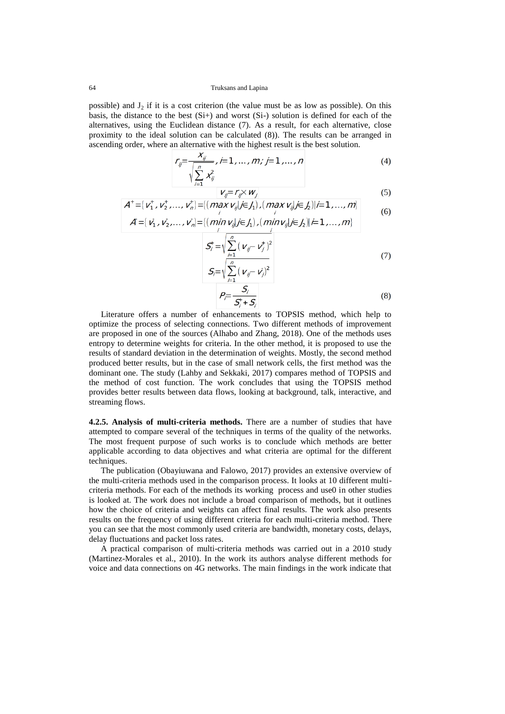possible) and  $J_2$  if it is a cost criterion (the value must be as low as possible). On this basis, the distance to the best (Si+) and worst (Si-) solution is defined for each of the alternatives, using the Euclidean distance (7). As a result, for each alternative, close proximity to the ideal solution can be calculated (8)). The results can be arranged in ascending order, where an alternative with the highest result is the best solution.

$$
r_{ij} = \frac{x_{ij}}{\sqrt{\sum_{i=1}^{n} x_{ij}^2}}, \quad i = 1, \dots, m; \quad j = 1, \dots, n
$$
 (4)

$$
V_{ij} = r_{ij} \times w_j
$$
\n
$$
A^+ = \{v_1^+, v_2^+, \dots, v_n^+\} = \{(\max_{j} v_{ij} | j \in J_1), (\max_{j} v_{ij} | j \in J_2) | i = 1, \dots, m\}
$$
\n(5)

$$
A = [v_1, v_2, \ldots, v_n] = [(min \limits_{j} v_{ij} / j \in J_1), (min \limits_{j} v_{ij} / j \in J_2)] \neq 1, \ldots, m]
$$

$$
S_{j}^{+} = \sqrt{\sum_{i=1}^{n} (\nu_{ij} - \nu_{j}^{+})^{2}}
$$
  
\n
$$
S_{j} = \sqrt{\sum_{i=1}^{n} (\nu_{ij} - \nu_{j})^{2}}
$$
 (7)

$$
P_{\overline{i}} = \frac{S_i}{S_i^+ + S_i} \tag{8}
$$

Literature offers a number of enhancements to TOPSIS method, which help to optimize the process of selecting connections. Two different methods of improvement are proposed in one of the sources (Alhabo and Zhang, 2018). One of the methods uses entropy to determine weights for criteria. In the other method, it is proposed to use the results of standard deviation in the determination of weights. Mostly, the second method produced better results, but in the case of small network cells, the first method was the dominant one. The study (Lahby and Sekkaki, 2017) compares method of TOPSIS and the method of cost function. The work concludes that using the TOPSIS method provides better results between data flows, looking at background, talk, interactive, and streaming flows.

**4.2.5. Analysis of multi-criteria methods.** There are a number of studies that have attempted to compare several of the techniques in terms of the quality of the networks. The most frequent purpose of such works is to conclude which methods are better applicable according to data objectives and what criteria are optimal for the different techniques.

The publication (Obayiuwana and Falowo, 2017) provides an extensive overview of the multi-criteria methods used in the comparison process. It looks at 10 different multicriteria methods. For each of the methods its working process and use0 in other studies is looked at. The work does not include a broad comparison of methods, but it outlines how the choice of criteria and weights can affect final results. The work also presents results on the frequency of using different criteria for each multi-criteria method. There you can see that the most commonly used criteria are bandwidth, monetary costs, delays, delay fluctuations and packet loss rates.

A practical comparison of multi-criteria methods was carried out in a 2010 study (Martinez-Morales et al., 2010). In the work its authors analyse different methods for voice and data connections on 4G networks. The main findings in the work indicate that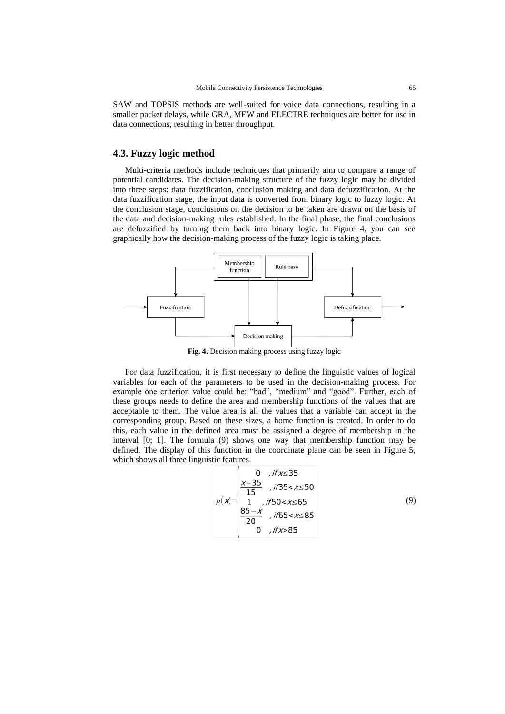SAW and TOPSIS methods are well-suited for voice data connections, resulting in a smaller packet delays, while GRA, MEW and ELECTRE techniques are better for use in data connections, resulting in better throughput.

### **4.3. Fuzzy logic method**

Multi-criteria methods include techniques that primarily aim to compare a range of potential candidates. The decision-making structure of the fuzzy logic may be divided into three steps: data fuzzification, conclusion making and data defuzzification. At the data fuzzification stage, the input data is converted from binary logic to fuzzy logic. At the conclusion stage, conclusions on the decision to be taken are drawn on the basis of the data and decision-making rules established. In the final phase, the final conclusions are defuzzified by turning them back into binary logic. In Figure 4, you can see graphically how the decision-making process of the fuzzy logic is taking place.



**Fig. 4.** Decision making process using fuzzy logic

For data fuzzification, it is first necessary to define the linguistic values of logical variables for each of the parameters to be used in the decision-making process. For example one criterion value could be: "bad", "medium" and "good". Further, each of these groups needs to define the area and membership functions of the values that are acceptable to them. The value area is all the values that a variable can accept in the corresponding group. Based on these sizes, a home function is created. In order to do this, each value in the defined area must be assigned a degree of membership in the interval [0; 1]. The formula (9) shows one way that membership function may be defined. The display of this function in the coordinate plane can be seen in Figure 5, which shows all three linguistic features.

$$
\mu(x) = \begin{cases}\n0 & , \text{if } x \le 35 \\
\frac{x-35}{15} & , \text{if } 35 < x \le 50 \\
1 & , \text{if } 50 < x \le 65 \\
\frac{85-x}{20} & , \text{if } 65 < x \le 85 \\
0 & , \text{if } x > 85\n\end{cases}
$$
\n(9)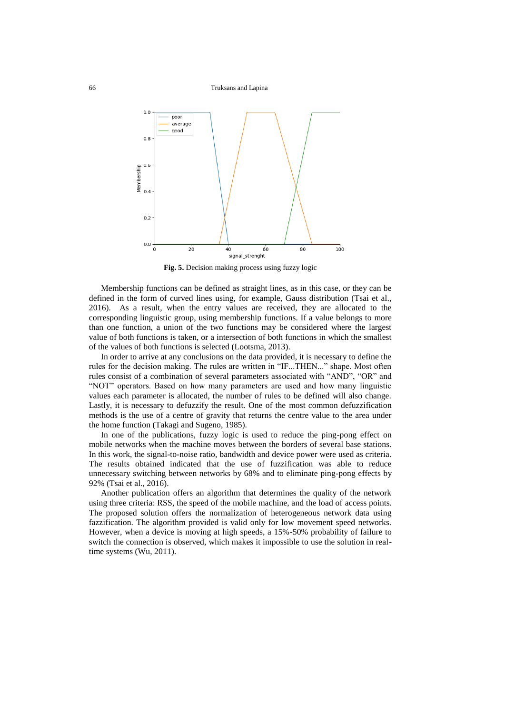66 Truksans and Lapina



**Fig. 5.** Decision making process using fuzzy logic

Membership functions can be defined as straight lines, as in this case, or they can be defined in the form of curved lines using, for example, Gauss distribution (Tsai et al., 2016). As a result, when the entry values are received, they are allocated to the corresponding linguistic group, using membership functions. If a value belongs to more than one function, a union of the two functions may be considered where the largest value of both functions is taken, or a intersection of both functions in which the smallest of the values of both functions is selected (Lootsma, 2013).

In order to arrive at any conclusions on the data provided, it is necessary to define the rules for the decision making. The rules are written in "IF...THEN..." shape. Most often rules consist of a combination of several parameters associated with "AND", "OR" and "NOT" operators. Based on how many parameters are used and how many linguistic values each parameter is allocated, the number of rules to be defined will also change. Lastly, it is necessary to defuzzify the result. One of the most common defuzzification methods is the use of a centre of gravity that returns the centre value to the area under the home function (Takagi and Sugeno, 1985).

In one of the publications, fuzzy logic is used to reduce the ping-pong effect on mobile networks when the machine moves between the borders of several base stations. In this work, the signal-to-noise ratio, bandwidth and device power were used as criteria. The results obtained indicated that the use of fuzzification was able to reduce unnecessary switching between networks by 68% and to eliminate ping-pong effects by 92% (Tsai et al., 2016).

Another publication offers an algorithm that determines the quality of the network using three criteria: RSS, the speed of the mobile machine, and the load of access points. The proposed solution offers the normalization of heterogeneous network data using fazzification. The algorithm provided is valid only for low movement speed networks. However, when a device is moving at high speeds, a 15%-50% probability of failure to switch the connection is observed, which makes it impossible to use the solution in realtime systems (Wu, 2011).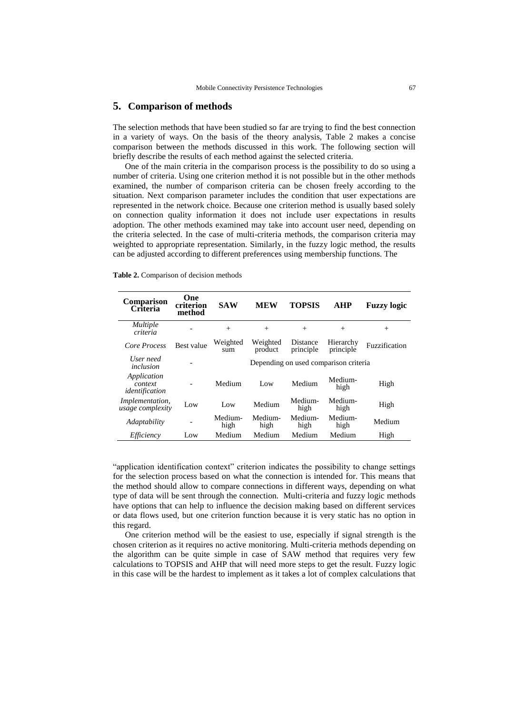#### **5. Comparison of methods**

The selection methods that have been studied so far are trying to find the best connection in a variety of ways. On the basis of the theory analysis, Table 2 makes a concise comparison between the methods discussed in this work. The following section will briefly describe the results of each method against the selected criteria.

One of the main criteria in the comparison process is the possibility to do so using a number of criteria. Using one criterion method it is not possible but in the other methods examined, the number of comparison criteria can be chosen freely according to the situation. Next comparison parameter includes the condition that user expectations are represented in the network choice. Because one criterion method is usually based solely on connection quality information it does not include user expectations in results adoption. The other methods examined may take into account user need, depending on the criteria selected. In the case of multi-criteria methods, the comparison criteria may weighted to appropriate representation. Similarly, in the fuzzy logic method, the results can be adjusted according to different preferences using membership functions. The

| Table 2. Comparison of decision methods |  |  |
|-----------------------------------------|--|--|
|-----------------------------------------|--|--|

| <b>Comparison</b><br>Criteria              | One<br>criterion<br>method | <b>SAW</b>                            | <b>MEW</b>          | <b>TOPSIS</b>         | AHP                    | <b>Fuzzy</b> logic |  |
|--------------------------------------------|----------------------------|---------------------------------------|---------------------|-----------------------|------------------------|--------------------|--|
| <i>Multiple</i><br>criteria                |                            | $^{+}$                                | $^{+}$              | $^{+}$                | $^{+}$                 | $^{+}$             |  |
| Core Process                               | <b>Best value</b>          | Weighted<br>sum                       | Weighted<br>product | Distance<br>principle | Hierarchy<br>principle | Fuzzification      |  |
| User need<br>inclusion                     |                            | Depending on used comparison criteria |                     |                       |                        |                    |  |
| Application<br>context<br>identification   |                            | Medium                                | Low                 | Medium                | Medium-<br>high        | High               |  |
| <i>Implementation,</i><br>usage complexity | Low                        | Low                                   | Medium              | Medium-<br>high       | Medium-<br>high        | High               |  |
| Adaptability                               |                            | Medium-<br>high                       | Medium-<br>high     | Medium-<br>high       | Medium-<br>high        | Medium             |  |
| Efficiency                                 | Low                        | Medium                                | Medium              | Medium                | Medium                 | High               |  |

"application identification context" criterion indicates the possibility to change settings for the selection process based on what the connection is intended for. This means that the method should allow to compare connections in different ways, depending on what type of data will be sent through the connection. Multi-criteria and fuzzy logic methods have options that can help to influence the decision making based on different services or data flows used, but one criterion function because it is very static has no option in this regard.

One criterion method will be the easiest to use, especially if signal strength is the chosen criterion as it requires no active monitoring. Multi-criteria methods depending on the algorithm can be quite simple in case of SAW method that requires very few calculations to TOPSIS and AHP that will need more steps to get the result. Fuzzy logic in this case will be the hardest to implement as it takes a lot of complex calculations that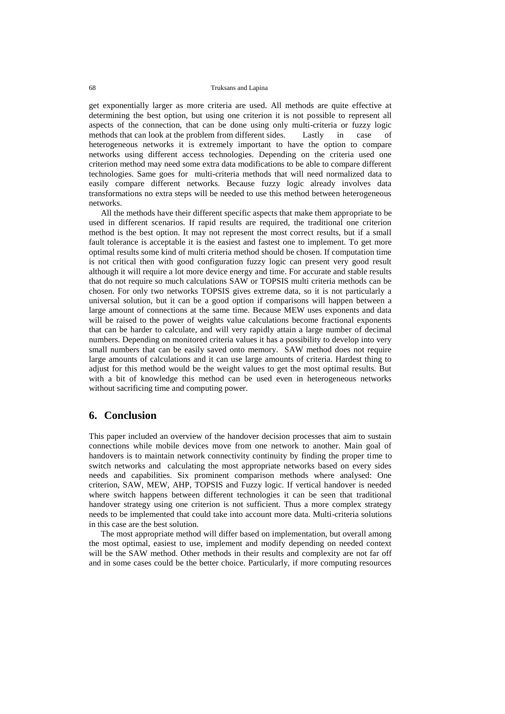get exponentially larger as more criteria are used. All methods are quite effective at determining the best option, but using one criterion it is not possible to represent all aspects of the connection, that can be done using only multi-criteria or fuzzy logic methods that can look at the problem from different sides. Lastly in case of heterogeneous networks it is extremely important to have the option to compare networks using different access technologies. Depending on the criteria used one criterion method may need some extra data modifications to be able to compare different technologies. Same goes for multi-criteria methods that will need normalized data to easily compare different networks. Because fuzzy logic already involves data transformations no extra steps will be needed to use this method between heterogeneous networks.

All the methods have their different specific aspects that make them appropriate to be used in different scenarios. If rapid results are required, the traditional one criterion method is the best option. It may not represent the most correct results, but if a small fault tolerance is acceptable it is the easiest and fastest one to implement. To get more optimal results some kind of multi criteria method should be chosen. If computation time is not critical then with good configuration fuzzy logic can present very good result although it will require a lot more device energy and time. For accurate and stable results that do not require so much calculations SAW or TOPSIS multi criteria methods can be chosen. For only two networks TOPSIS gives extreme data, so it is not particularly a universal solution, but it can be a good option if comparisons will happen between a large amount of connections at the same time. Because MEW uses exponents and data will be raised to the power of weights value calculations become fractional exponents that can be harder to calculate, and will very rapidly attain a large number of decimal numbers. Depending on monitored criteria values it has a possibility to develop into very small numbers that can be easily saved onto memory. SAW method does not require large amounts of calculations and it can use large amounts of criteria. Hardest thing to adjust for this method would be the weight values to get the most optimal results. But with a bit of knowledge this method can be used even in heterogeneous networks without sacrificing time and computing power.

## **6. Conclusion**

This paper included an overview of the handover decision processes that aim to sustain connections while mobile devices move from one network to another. Main goal of handovers is to maintain network connectivity continuity by finding the proper time to switch networks and calculating the most appropriate networks based on every sides needs and capabilities. Six prominent comparison methods where analysed: One criterion, SAW, MEW, AHP, TOPSIS and Fuzzy logic. If vertical handover is needed where switch happens between different technologies it can be seen that traditional handover strategy using one criterion is not sufficient. Thus a more complex strategy needs to be implemented that could take into account more data. Multi-criteria solutions in this case are the best solution.

The most appropriate method will differ based on implementation, but overall among the most optimal, easiest to use, implement and modify depending on needed context will be the SAW method. Other methods in their results and complexity are not far off and in some cases could be the better choice. Particularly, if more computing resources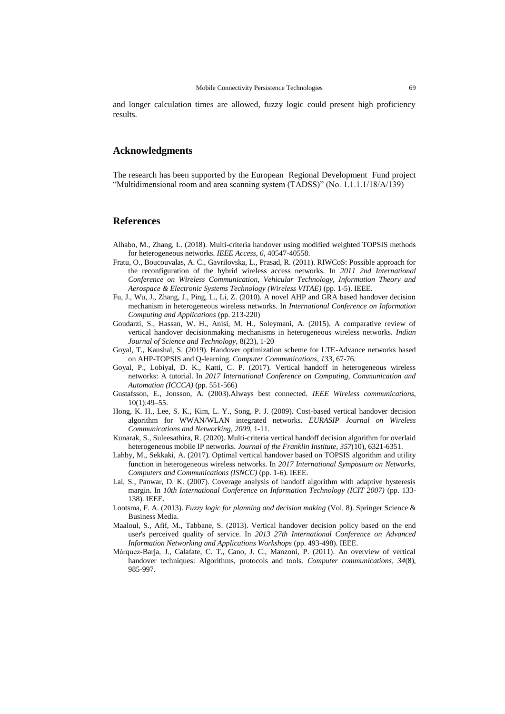and longer calculation times are allowed, fuzzy logic could present high proficiency results.

#### **Acknowledgments**

The research has been supported by the European Regional Development Fund project "Multidimensional room and area scanning system (TADSS)" (No. 1.1.1.1/18/A/139)

#### **References**

- Alhabo, M., Zhang, L. (2018). Multi-criteria handover using modified weighted TOPSIS methods for heterogeneous networks. *IEEE Access*, *6*, 40547-40558.
- Fratu, O., Boucouvalas, A. C., Gavrilovska, L., Prasad, R. (2011). RIWCoS: Possible approach for the reconfiguration of the hybrid wireless access networks. In *2011 2nd International Conference on Wireless Communication, Vehicular Technology, Information Theory and Aerospace & Electronic Systems Technology (Wireless VITAE)* (pp. 1-5). IEEE.
- Fu, J., Wu, J., Zhang, J., Ping, L., Li, Z. (2010). A novel AHP and GRA based handover decision mechanism in heterogeneous wireless networks. In *International Conference on Information Computing and Applications* (pp. 213-220)
- Goudarzi, S., Hassan, W. H., Anisi, M. H., Soleymani, A. (2015). A comparative review of vertical handover decisionmaking mechanisms in heterogeneous wireless networks. *Indian Journal of Science and Technology*, 8(23), 1-20
- Goyal, T., Kaushal, S. (2019). Handover optimization scheme for LTE-Advance networks based on AHP-TOPSIS and Q-learning. *Computer Communications*, *133*, 67-76.
- Goyal, P., Lobiyal, D. K., Katti, C. P. (2017). Vertical handoff in heterogeneous wireless networks: A tutorial. In *2017 International Conference on Computing, Communication and Automation (ICCCA)* (pp. 551-566)
- Gustafsson, E., Jonsson, A. (2003).Always best connected. *IEEE Wireless communications*, 10(1):49–55.
- Hong, K. H., Lee, S. K., Kim, L. Y., Song, P. J. (2009). Cost-based vertical handover decision algorithm for WWAN/WLAN integrated networks. *EURASIP Journal on Wireless Communications and Networking*, *2009*, 1-11.
- Kunarak, S., Suleesathira, R. (2020). Multi-criteria vertical handoff decision algorithm for overlaid heterogeneous mobile IP networks. *Journal of the Franklin Institute*, *357*(10), 6321-6351.
- Lahby, M., Sekkaki, A. (2017). Optimal vertical handover based on TOPSIS algorithm and utility function in heterogeneous wireless networks. In *2017 International Symposium on Networks, Computers and Communications (ISNCC)* (pp. 1-6). IEEE.
- Lal, S., Panwar, D. K. (2007). Coverage analysis of handoff algorithm with adaptive hysteresis margin. In *10th International Conference on Information Technology (ICIT 2007)* (pp. 133- 138). IEEE.
- Lootsma, F. A. (2013). *Fuzzy logic for planning and decision making* (Vol. 8). Springer Science & Business Media.
- Maaloul, S., Afif, M., Tabbane, S. (2013). Vertical handover decision policy based on the end user's perceived quality of service. In *2013 27th International Conference on Advanced Information Networking and Applications Workshops* (pp. 493-498). IEEE.
- Márquez-Barja, J., Calafate, C. T., Cano, J. C., Manzoni, P. (2011). An overview of vertical handover techniques: Algorithms, protocols and tools. *Computer communications*, *34*(8), 985-997.